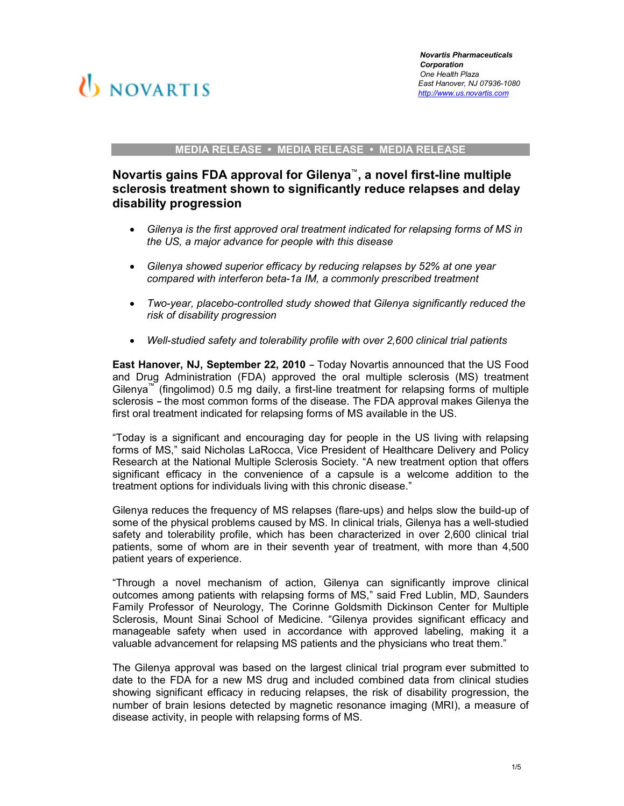

#### MEDIA RELEASE • MEDIA RELEASE • MEDIA RELEASE

# Novartis gains FDA approval for Gilenya™, a novel first-line multiple sclerosis treatment shown to significantly reduce relapses and delay disability progression

- Gilenya is the first approved oral treatment indicated for relapsing forms of MS in the US, a major advance for people with this disease
- Gilenya showed superior efficacy by reducing relapses by 52% at one year compared with interferon beta-1a IM, a commonly prescribed treatment
- Two-year, placebo-controlled study showed that Gilenya significantly reduced the risk of disability progression
- Well-studied safety and tolerability profile with over 2,600 clinical trial patients

East Hanover, NJ, September 22, 2010 – Today Novartis announced that the US Food and Drug Administration (FDA) approved the oral multiple sclerosis (MS) treatment Gilenya™ (fingolimod) 0.5 mg daily, a first-line treatment for relapsing forms of multiple sclerosis – the most common forms of the disease. The FDA approval makes Gilenya the first oral treatment indicated for relapsing forms of MS available in the US.

"Today is a significant and encouraging day for people in the US living with relapsing forms of MS," said Nicholas LaRocca, Vice President of Healthcare Delivery and Policy Research at the National Multiple Sclerosis Society. "A new treatment option that offers significant efficacy in the convenience of a capsule is a welcome addition to the treatment options for individuals living with this chronic disease."

Gilenya reduces the frequency of MS relapses (flare-ups) and helps slow the build-up of some of the physical problems caused by MS. In clinical trials, Gilenya has a well-studied safety and tolerability profile, which has been characterized in over 2,600 clinical trial patients, some of whom are in their seventh year of treatment, with more than 4,500 patient years of experience.

"Through a novel mechanism of action, Gilenya can significantly improve clinical outcomes among patients with relapsing forms of MS," said Fred Lublin, MD, Saunders Family Professor of Neurology, The Corinne Goldsmith Dickinson Center for Multiple Sclerosis, Mount Sinai School of Medicine. "Gilenya provides significant efficacy and manageable safety when used in accordance with approved labeling, making it a valuable advancement for relapsing MS patients and the physicians who treat them."

The Gilenya approval was based on the largest clinical trial program ever submitted to date to the FDA for a new MS drug and included combined data from clinical studies showing significant efficacy in reducing relapses, the risk of disability progression, the number of brain lesions detected by magnetic resonance imaging (MRI), a measure of disease activity, in people with relapsing forms of MS.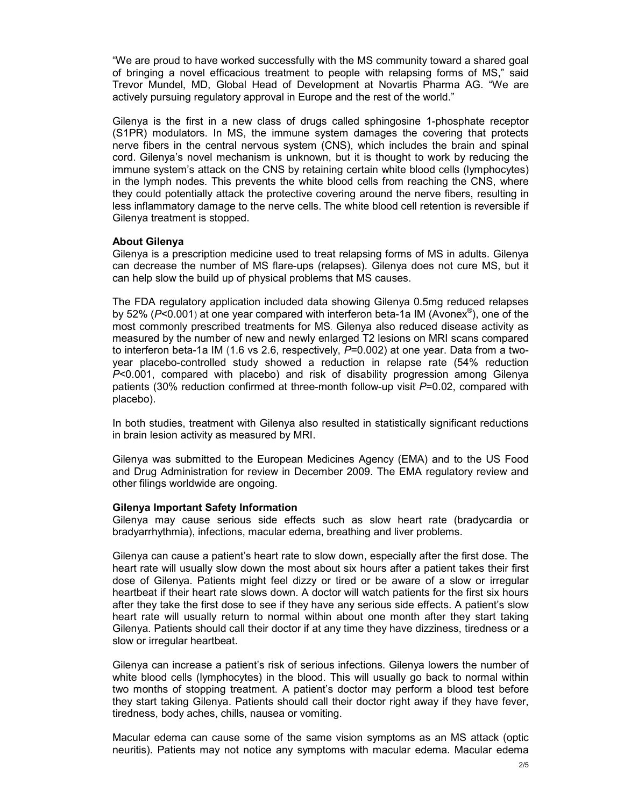"We are proud to have worked successfully with the MS community toward a shared goal of bringing a novel efficacious treatment to people with relapsing forms of MS," said Trevor Mundel, MD, Global Head of Development at Novartis Pharma AG. "We are actively pursuing regulatory approval in Europe and the rest of the world."

Gilenya is the first in a new class of drugs called sphingosine 1-phosphate receptor (S1PR) modulators. In MS, the immune system damages the covering that protects nerve fibers in the central nervous system (CNS), which includes the brain and spinal cord. Gilenya's novel mechanism is unknown, but it is thought to work by reducing the immune system's attack on the CNS by retaining certain white blood cells (lymphocytes) in the lymph nodes. This prevents the white blood cells from reaching the CNS, where they could potentially attack the protective covering around the nerve fibers, resulting in less inflammatory damage to the nerve cells. The white blood cell retention is reversible if Gilenya treatment is stopped.

## About Gilenya

Gilenya is a prescription medicine used to treat relapsing forms of MS in adults. Gilenya can decrease the number of MS flare-ups (relapses). Gilenya does not cure MS, but it can help slow the build up of physical problems that MS causes.

The FDA regulatory application included data showing Gilenya 0.5mg reduced relapses by 52% (P<0.001) at one year compared with interferon beta-1a IM (Avonex®), one of the most commonly prescribed treatments for MS. Gilenya also reduced disease activity as measured by the number of new and newly enlarged T2 lesions on MRI scans compared to interferon beta-1a IM (1.6 vs 2.6, respectively,  $P=0.002$ ) at one year. Data from a twoyear placebo-controlled study showed a reduction in relapse rate (54% reduction  $P<sub>0.001</sub>$ , compared with placebo) and risk of disability progression among Gilenya patients (30% reduction confirmed at three-month follow-up visit  $P=0.02$ , compared with placebo).

In both studies, treatment with Gilenya also resulted in statistically significant reductions in brain lesion activity as measured by MRI.

Gilenya was submitted to the European Medicines Agency (EMA) and to the US Food and Drug Administration for review in December 2009. The EMA regulatory review and other filings worldwide are ongoing.

### Gilenya Important Safety Information

Gilenya may cause serious side effects such as slow heart rate (bradycardia or bradyarrhythmia), infections, macular edema, breathing and liver problems.

Gilenya can cause a patient's heart rate to slow down, especially after the first dose. The heart rate will usually slow down the most about six hours after a patient takes their first dose of Gilenya. Patients might feel dizzy or tired or be aware of a slow or irregular heartbeat if their heart rate slows down. A doctor will watch patients for the first six hours after they take the first dose to see if they have any serious side effects. A patient's slow heart rate will usually return to normal within about one month after they start taking Gilenya. Patients should call their doctor if at any time they have dizziness, tiredness or a slow or irregular heartbeat.

Gilenya can increase a patient's risk of serious infections. Gilenya lowers the number of white blood cells (lymphocytes) in the blood. This will usually go back to normal within two months of stopping treatment. A patient's doctor may perform a blood test before they start taking Gilenya. Patients should call their doctor right away if they have fever, tiredness, body aches, chills, nausea or vomiting.

Macular edema can cause some of the same vision symptoms as an MS attack (optic neuritis). Patients may not notice any symptoms with macular edema. Macular edema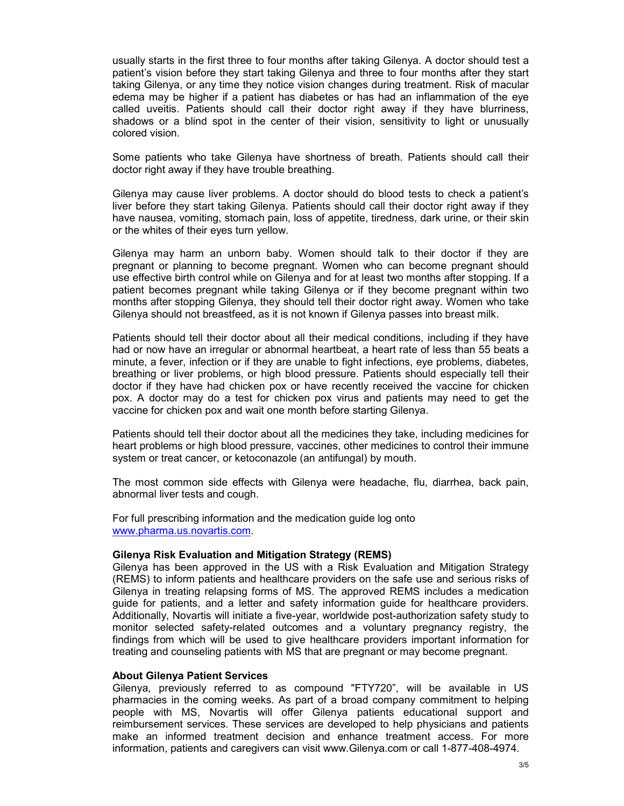usually starts in the first three to four months after taking Gilenya. A doctor should test a patient's vision before they start taking Gilenya and three to four months after they start taking Gilenya, or any time they notice vision changes during treatment. Risk of macular edema may be higher if a patient has diabetes or has had an inflammation of the eye called uveitis. Patients should call their doctor right away if they have blurriness, shadows or a blind spot in the center of their vision, sensitivity to light or unusually colored vision.

Some patients who take Gilenya have shortness of breath. Patients should call their doctor right away if they have trouble breathing.

Gilenya may cause liver problems. A doctor should do blood tests to check a patient's liver before they start taking Gilenya. Patients should call their doctor right away if they have nausea, vomiting, stomach pain, loss of appetite, tiredness, dark urine, or their skin or the whites of their eyes turn yellow.

Gilenya may harm an unborn baby. Women should talk to their doctor if they are pregnant or planning to become pregnant. Women who can become pregnant should use effective birth control while on Gilenya and for at least two months after stopping. If a patient becomes pregnant while taking Gilenya or if they become pregnant within two months after stopping Gilenya, they should tell their doctor right away. Women who take Gilenya should not breastfeed, as it is not known if Gilenya passes into breast milk.

Patients should tell their doctor about all their medical conditions, including if they have had or now have an irregular or abnormal heartbeat, a heart rate of less than 55 beats a minute, a fever, infection or if they are unable to fight infections, eye problems, diabetes, breathing or liver problems, or high blood pressure. Patients should especially tell their doctor if they have had chicken pox or have recently received the vaccine for chicken pox. A doctor may do a test for chicken pox virus and patients may need to get the vaccine for chicken pox and wait one month before starting Gilenya.

Patients should tell their doctor about all the medicines they take, including medicines for heart problems or high blood pressure, vaccines, other medicines to control their immune system or treat cancer, or ketoconazole (an antifungal) by mouth.

The most common side effects with Gilenya were headache, flu, diarrhea, back pain, abnormal liver tests and cough.

For full prescribing information and the medication guide log onto www.pharma.us.novartis.com.

### Gilenya Risk Evaluation and Mitigation Strategy (REMS)

Gilenya has been approved in the US with a Risk Evaluation and Mitigation Strategy (REMS) to inform patients and healthcare providers on the safe use and serious risks of Gilenya in treating relapsing forms of MS. The approved REMS includes a medication guide for patients, and a letter and safety information guide for healthcare providers. Additionally, Novartis will initiate a five-year, worldwide post-authorization safety study to monitor selected safety-related outcomes and a voluntary pregnancy registry, the findings from which will be used to give healthcare providers important information for treating and counseling patients with MS that are pregnant or may become pregnant.

#### About Gilenya Patient Services

Gilenya, previously referred to as compound "FTY720", will be available in US pharmacies in the coming weeks. As part of a broad company commitment to helping people with MS, Novartis will offer Gilenya patients educational support and reimbursement services. These services are developed to help physicians and patients make an informed treatment decision and enhance treatment access. For more information, patients and caregivers can visit www.Gilenya.com or call 1-877-408-4974.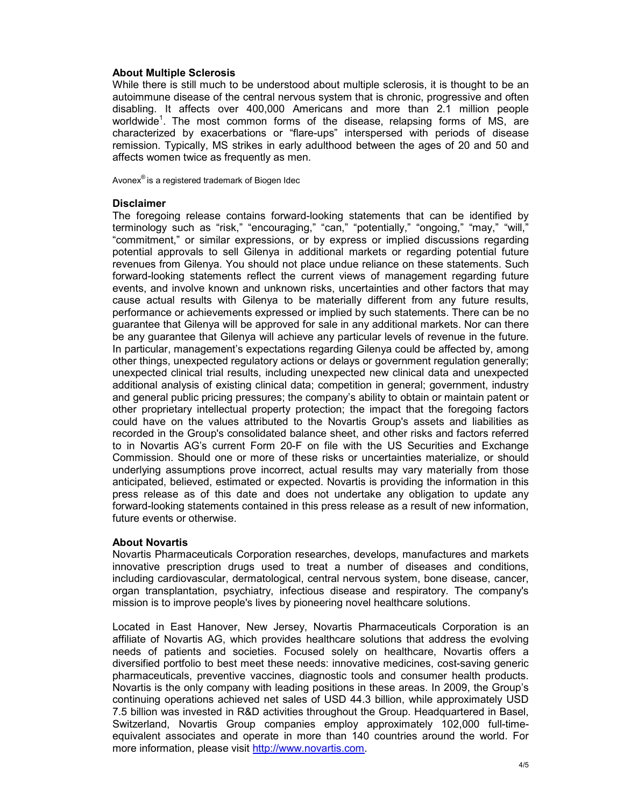### About Multiple Sclerosis

While there is still much to be understood about multiple sclerosis, it is thought to be an autoimmune disease of the central nervous system that is chronic, progressive and often disabling. It affects over 400,000 Americans and more than 2.1 million people worldwide<sup>1</sup>. The most common forms of the disease, relapsing forms of MS, are characterized by exacerbations or "flare-ups" interspersed with periods of disease remission. Typically, MS strikes in early adulthood between the ages of 20 and 50 and affects women twice as frequently as men.

Avonex® is a registered trademark of Biogen Idec

### **Disclaimer**

The foregoing release contains forward-looking statements that can be identified by terminology such as "risk," "encouraging," "can," "potentially," "ongoing," "may," "will," "commitment," or similar expressions, or by express or implied discussions regarding potential approvals to sell Gilenya in additional markets or regarding potential future revenues from Gilenya. You should not place undue reliance on these statements. Such forward-looking statements reflect the current views of management regarding future events, and involve known and unknown risks, uncertainties and other factors that may cause actual results with Gilenya to be materially different from any future results, performance or achievements expressed or implied by such statements. There can be no guarantee that Gilenya will be approved for sale in any additional markets. Nor can there be any guarantee that Gilenya will achieve any particular levels of revenue in the future. In particular, management's expectations regarding Gilenya could be affected by, among other things, unexpected regulatory actions or delays or government regulation generally; unexpected clinical trial results, including unexpected new clinical data and unexpected additional analysis of existing clinical data; competition in general; government, industry and general public pricing pressures; the company's ability to obtain or maintain patent or other proprietary intellectual property protection; the impact that the foregoing factors could have on the values attributed to the Novartis Group's assets and liabilities as recorded in the Group's consolidated balance sheet, and other risks and factors referred to in Novartis AG's current Form 20-F on file with the US Securities and Exchange Commission. Should one or more of these risks or uncertainties materialize, or should underlying assumptions prove incorrect, actual results may vary materially from those anticipated, believed, estimated or expected. Novartis is providing the information in this press release as of this date and does not undertake any obligation to update any forward-looking statements contained in this press release as a result of new information, future events or otherwise.

# About Novartis

Novartis Pharmaceuticals Corporation researches, develops, manufactures and markets innovative prescription drugs used to treat a number of diseases and conditions, including cardiovascular, dermatological, central nervous system, bone disease, cancer, organ transplantation, psychiatry, infectious disease and respiratory. The company's mission is to improve people's lives by pioneering novel healthcare solutions.

Located in East Hanover, New Jersey, Novartis Pharmaceuticals Corporation is an affiliate of Novartis AG, which provides healthcare solutions that address the evolving needs of patients and societies. Focused solely on healthcare, Novartis offers a diversified portfolio to best meet these needs: innovative medicines, cost-saving generic pharmaceuticals, preventive vaccines, diagnostic tools and consumer health products. Novartis is the only company with leading positions in these areas. In 2009, the Group's continuing operations achieved net sales of USD 44.3 billion, while approximately USD 7.5 billion was invested in R&D activities throughout the Group. Headquartered in Basel, Switzerland, Novartis Group companies employ approximately 102,000 full-timeequivalent associates and operate in more than 140 countries around the world. For more information, please visit http://www.novartis.com.